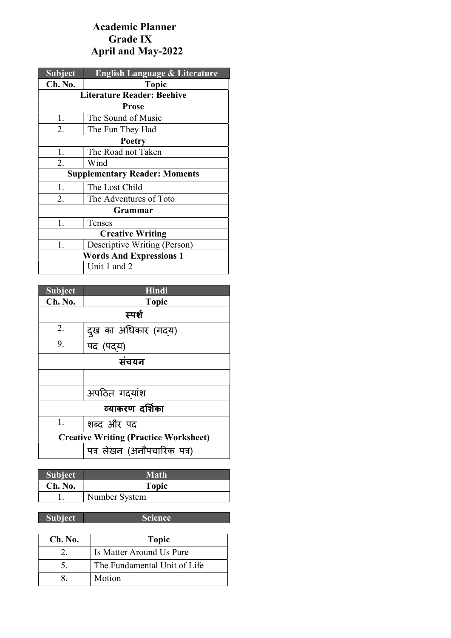## Academic Planner Grade IX April and May-2022

| <b>Subject</b>                       | <b>English Language &amp; Literature</b> |
|--------------------------------------|------------------------------------------|
| Ch. No.                              | <b>Topic</b>                             |
|                                      | <b>Literature Reader: Beehive</b>        |
|                                      | <b>Prose</b>                             |
| 1.                                   | The Sound of Music                       |
| 2.                                   | The Fun They Had                         |
| <b>Poetry</b>                        |                                          |
| 1.                                   | The Road not Taken                       |
| 2.                                   | Wind                                     |
| <b>Supplementary Reader: Moments</b> |                                          |
| 1.                                   | The Lost Child                           |
| 2.                                   | The Adventures of Toto                   |
| <b>Grammar</b>                       |                                          |
| 1.                                   | Tenses                                   |
| <b>Creative Writing</b>              |                                          |
| 1.                                   | Descriptive Writing (Person)             |
| <b>Words And Expressions 1</b>       |                                          |
|                                      | Unit 1 and 2                             |

| <b>Subject</b>                               | Hindi                      |  |
|----------------------------------------------|----------------------------|--|
| Ch. No.                                      | <b>Topic</b>               |  |
|                                              | स्पर्श                     |  |
| 2.                                           | दुख का अधिकार (गदय)        |  |
| 9.                                           | पद (पद्य)                  |  |
| संचयन                                        |                            |  |
|                                              |                            |  |
|                                              | अपठित गदयांश               |  |
| व्याकरण दर्शिका                              |                            |  |
| 1.                                           | शब्द और पद                 |  |
| <b>Creative Writing (Practice Worksheet)</b> |                            |  |
|                                              | पत्र लेखन (अनौपचारिक पत्र) |  |

| <b>Subject</b> | <b>Math</b>   |
|----------------|---------------|
| Ch. No.        | <b>Topic</b>  |
|                | Number System |

Subject Science

| Ch. No. | <b>Topic</b>                 |
|---------|------------------------------|
|         | Is Matter Around Us Pure     |
|         | The Fundamental Unit of Life |
|         | Motion                       |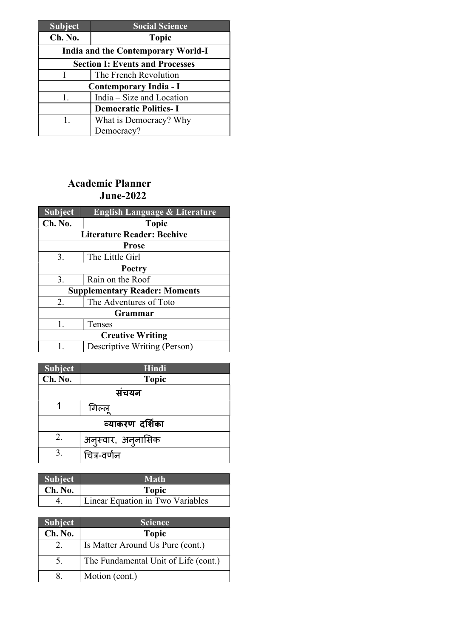| <b>Subject</b>                         | <b>Social Science</b>        |  |
|----------------------------------------|------------------------------|--|
| Ch. No.                                | <b>Topic</b>                 |  |
| India and the Contemporary World-I     |                              |  |
| <b>Section I: Events and Processes</b> |                              |  |
|                                        | The French Revolution        |  |
| Contemporary India - I                 |                              |  |
| 1.                                     | India – Size and Location    |  |
|                                        | <b>Democratic Politics-I</b> |  |
| 1.                                     | What is Democracy? Why       |  |
|                                        | Democracy?                   |  |

## Academic Planner June-2022

| <b>Subject</b>                       | <b>English Language &amp; Literature</b> |  |  |
|--------------------------------------|------------------------------------------|--|--|
| Ch. No.                              | <b>Topic</b>                             |  |  |
|                                      | <b>Literature Reader: Beehive</b>        |  |  |
| <b>Prose</b>                         |                                          |  |  |
| 3.                                   | The Little Girl                          |  |  |
| <b>Poetry</b>                        |                                          |  |  |
| 3.                                   | Rain on the Roof                         |  |  |
| <b>Supplementary Reader: Moments</b> |                                          |  |  |
| 2.                                   | The Adventures of Toto                   |  |  |
| Grammar                              |                                          |  |  |
| $1_{-}$                              | Tenses                                   |  |  |
| <b>Creative Writing</b>              |                                          |  |  |
| 1.                                   | Descriptive Writing (Person)             |  |  |

| <b>Subject</b>  | Hindi              |  |
|-----------------|--------------------|--|
| Ch. No.         | <b>Topic</b>       |  |
| सचयन            |                    |  |
|                 | गिल्लू             |  |
| व्याकरण दर्शिका |                    |  |
| 2.              | अनुस्वार, अनुनासिक |  |
| 3.              | चित्र-वर्णन        |  |

| <b>Subject</b> | Math                             |
|----------------|----------------------------------|
| Ch. No.        | <b>Topic</b>                     |
|                | Linear Equation in Two Variables |

| <b>Subject</b> | <b>Science</b>                       |
|----------------|--------------------------------------|
| Ch. No.        | <b>Topic</b>                         |
| 2.             | Is Matter Around Us Pure (cont.)     |
| 5.             | The Fundamental Unit of Life (cont.) |
|                | Motion (cont.)                       |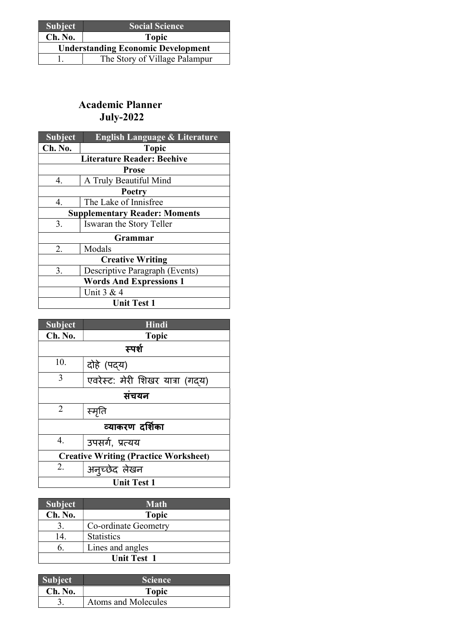| <b>Subject</b>                            | <b>Social Science</b>         |
|-------------------------------------------|-------------------------------|
| Ch. No.                                   | <b>Topic</b>                  |
| <b>Understanding Economic Development</b> |                               |
|                                           | The Story of Village Palampur |

### Academic Planner July-2022

| <b>Subject</b>                       | <b>English Language &amp; Literature</b> |
|--------------------------------------|------------------------------------------|
| Ch. No.                              | <b>Topic</b>                             |
|                                      | <b>Literature Reader: Beehive</b>        |
|                                      | <b>Prose</b>                             |
| 4.                                   | A Truly Beautiful Mind                   |
| Poetry                               |                                          |
| 4.                                   | The Lake of Innisfree                    |
| <b>Supplementary Reader: Moments</b> |                                          |
| 3.                                   | Iswaran the Story Teller                 |
|                                      | Grammar                                  |
| 2.                                   | Modals                                   |
| <b>Creative Writing</b>              |                                          |
| 3.                                   | Descriptive Paragraph (Events)           |
| <b>Words And Expressions 1</b>       |                                          |
| Unit $3 & 4$                         |                                          |
| <b>Unit Test 1</b>                   |                                          |

| <b>Subject</b>                               | <b>Hindi</b>                    |  |
|----------------------------------------------|---------------------------------|--|
| Ch. No.                                      | <b>Topic</b>                    |  |
|                                              | स्पर्श                          |  |
| 10.                                          | दोहे (पद्य)                     |  |
| 3                                            | एवरेस्ट: मेरी शिखर यात्रा (गदय) |  |
| संचयन                                        |                                 |  |
| 2                                            | स्मृति                          |  |
| व्याकरण दर्शिका                              |                                 |  |
| 4.                                           | उपसर्ग, प्रत्यय                 |  |
| <b>Creative Writing (Practice Worksheet)</b> |                                 |  |
| 2.                                           | अनुच्छेद लेखन                   |  |
| <b>Unit Test 1</b>                           |                                 |  |

| <b>Subject</b>     | <b>Math</b>          |
|--------------------|----------------------|
| Ch. No.            | <b>Topic</b>         |
|                    | Co-ordinate Geometry |
| 14.                | <b>Statistics</b>    |
| 6.                 | Lines and angles     |
| <b>Unit Test 1</b> |                      |

| <b>Subject</b> | <b>Science</b>      |
|----------------|---------------------|
| Ch. No.        | <b>Topic</b>        |
|                | Atoms and Molecules |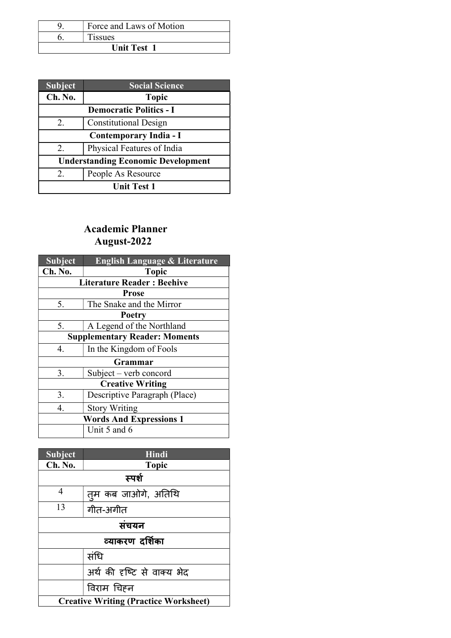|                    | Force and Laws of Motion |
|--------------------|--------------------------|
|                    | <b>Tissues</b>           |
| <b>Unit Test 1</b> |                          |

| <b>Subject</b>                            | <b>Social Science</b>        |
|-------------------------------------------|------------------------------|
| Ch. No.                                   | <b>Topic</b>                 |
| <b>Democratic Politics - I</b>            |                              |
| $2_{\cdot}$                               | <b>Constitutional Design</b> |
| Contemporary India - I                    |                              |
| $2_{\cdot}$                               | Physical Features of India   |
| <b>Understanding Economic Development</b> |                              |
| 2.                                        | People As Resource           |
| <b>Unit Test 1</b>                        |                              |

# Academic Planner August-2022

| <b>Subject</b>                       | <b>English Language &amp; Literature</b> |  |
|--------------------------------------|------------------------------------------|--|
| Ch. No.                              | <b>Topic</b>                             |  |
|                                      | <b>Literature Reader: Beehive</b>        |  |
| <b>Prose</b>                         |                                          |  |
| 5.                                   | The Snake and the Mirror                 |  |
| <b>Poetry</b>                        |                                          |  |
| 5.                                   | A Legend of the Northland                |  |
| <b>Supplementary Reader: Moments</b> |                                          |  |
| 4.                                   | In the Kingdom of Fools                  |  |
| Grammar                              |                                          |  |
| 3.                                   | Subject – verb concord                   |  |
| <b>Creative Writing</b>              |                                          |  |
| 3.                                   | Descriptive Paragraph (Place)            |  |
| 4.                                   | <b>Story Writing</b>                     |  |
| <b>Words And Expressions 1</b>       |                                          |  |
| Unit 5 and 6                         |                                          |  |

| <b>Subject</b>                               | Hindi               |
|----------------------------------------------|---------------------|
| Ch. No.                                      | <b>Topic</b>        |
| स्पर्श                                       |                     |
| 4                                            | तुम कब जाओगे, अतिथि |
| 13                                           | गीत-अंगीत           |
| संचयन                                        |                     |
| व्याकरण दर्शिका                              |                     |
| संधि                                         |                     |
| अर्थ की दृष्टि से वाक्य भेद                  |                     |
|                                              | विराम चिहन          |
| <b>Creative Writing (Practice Worksheet)</b> |                     |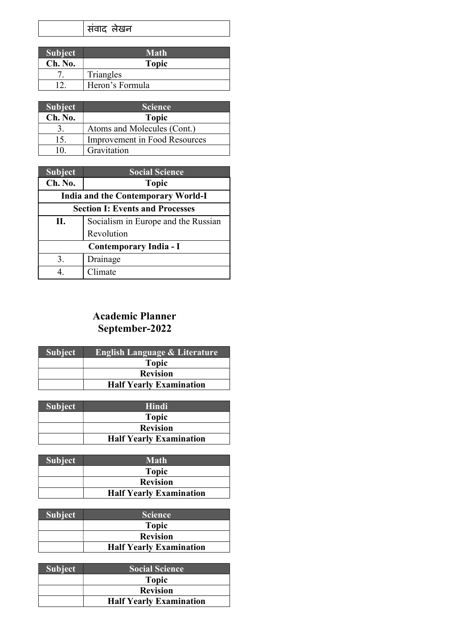| सवाद लेखन |  |
|-----------|--|
|-----------|--|

| <b>Subject</b> | <b>Math</b>     |
|----------------|-----------------|
| Ch. No.        | <b>Topic</b>    |
|                | Triangles       |
|                | Heron's Formula |

| <b>Subject</b> | <b>Science</b>                |
|----------------|-------------------------------|
| Ch. No.        | <b>Topic</b>                  |
|                | Atoms and Molecules (Cont.)   |
| 15.            | Improvement in Food Resources |
| 10.            | Gravitation                   |

| <b>Subject</b>                            | <b>Social Science</b>                  |
|-------------------------------------------|----------------------------------------|
| Ch. No.                                   | <b>Topic</b>                           |
| <b>India and the Contemporary World-I</b> |                                        |
|                                           | <b>Section I: Events and Processes</b> |
| П.                                        | Socialism in Europe and the Russian    |
|                                           | Revolution                             |
| Contemporary India - I                    |                                        |
| 3.                                        | Drainage                               |
|                                           | Climate                                |

## Academic Planner September-2022

| <b>Topic</b>                   |  |
|--------------------------------|--|
| <b>Revision</b>                |  |
| <b>Half Yearly Examination</b> |  |

| <b>Subject</b> | Hindi                          |
|----------------|--------------------------------|
|                | <b>Topic</b>                   |
|                | <b>Revision</b>                |
|                | <b>Half Yearly Examination</b> |

| <b>Subject</b> | <b>Math</b>                    |
|----------------|--------------------------------|
|                | <b>Topic</b>                   |
|                | <b>Revision</b>                |
|                | <b>Half Yearly Examination</b> |

| <b>Subject</b> | <b>Science</b>                 |
|----------------|--------------------------------|
|                | <b>Topic</b>                   |
|                | <b>Revision</b>                |
|                | <b>Half Yearly Examination</b> |

| <b>Subject</b> | <b>Social Science</b>          |
|----------------|--------------------------------|
|                | <b>Topic</b>                   |
|                | <b>Revision</b>                |
|                | <b>Half Yearly Examination</b> |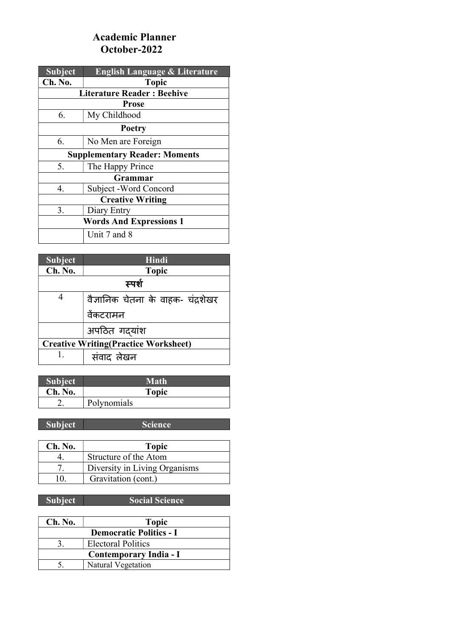### Academic Planner October-2022

| <b>Subject</b>                       | <b>English Language &amp; Literature</b> |  |  |
|--------------------------------------|------------------------------------------|--|--|
| Ch. No.                              | <b>Topic</b>                             |  |  |
|                                      | <b>Literature Reader: Beehive</b>        |  |  |
|                                      | <b>Prose</b>                             |  |  |
| 6.                                   | My Childhood                             |  |  |
|                                      | <b>Poetry</b>                            |  |  |
| 6.                                   | No Men are Foreign                       |  |  |
| <b>Supplementary Reader: Moments</b> |                                          |  |  |
| 5.                                   | The Happy Prince                         |  |  |
|                                      | Grammar                                  |  |  |
| 4.                                   | Subject -Word Concord                    |  |  |
| <b>Creative Writing</b>              |                                          |  |  |
| 3.                                   | Diary Entry                              |  |  |
| <b>Words And Expressions 1</b>       |                                          |  |  |
|                                      | Unit 7 and 8                             |  |  |

| <b>Subject</b>                              | <b>Hindi</b>                       |
|---------------------------------------------|------------------------------------|
| Ch. No.                                     | <b>Topic</b>                       |
| स्पर्श                                      |                                    |
| 4                                           | वैज्ञानिक चेतना के वाहक- चंद्रशेखर |
|                                             | वेंकटरामन                          |
|                                             | अपठित गदयांश                       |
| <b>Creative Writing(Practice Worksheet)</b> |                                    |
| Ι.                                          | संवाद लेखन                         |

| <b>Subject</b> | Math         |
|----------------|--------------|
| Ch. No.        | <b>Topic</b> |
|                | Polynomials  |

Subject Science

| Ch. No. | <b>Topic</b>                  |
|---------|-------------------------------|
|         | Structure of the Atom         |
|         | Diversity in Living Organisms |
| 10      | Gravitation (cont.)           |

Subject Social Science

| Ch. No.                | <b>Topic</b>                   |
|------------------------|--------------------------------|
|                        | <b>Democratic Politics - I</b> |
|                        | Electoral Politics             |
| Contemporary India - I |                                |
|                        | <b>Natural Vegetation</b>      |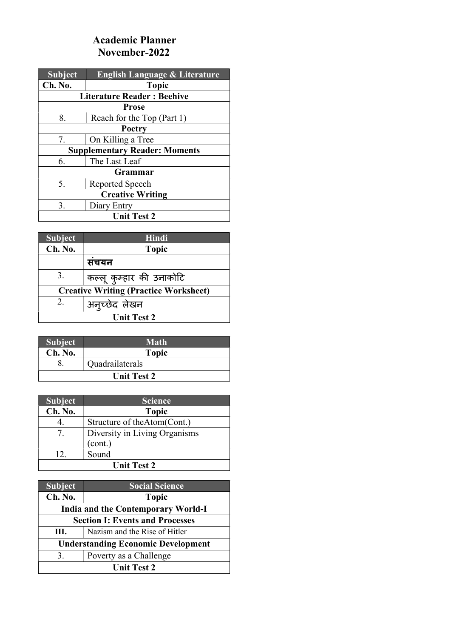#### Academic Planner November-2022

| Subject                              | <b>English Language &amp; Literature</b> |
|--------------------------------------|------------------------------------------|
| Ch. No.                              | <b>Topic</b>                             |
|                                      | <b>Literature Reader: Beehive</b>        |
|                                      | <b>Prose</b>                             |
| 8.                                   | Reach for the Top (Part 1)               |
| Poetry                               |                                          |
| 7.                                   | On Killing a Tree                        |
| <b>Supplementary Reader: Moments</b> |                                          |
| 6.                                   | The Last Leaf                            |
|                                      | Grammar                                  |
| 5.                                   | Reported Speech                          |
| <b>Creative Writing</b>              |                                          |
| 3.                                   | Diary Entry                              |
| <b>Unit Test 2</b>                   |                                          |

| <b>Subject</b>     | Hindi                                        |
|--------------------|----------------------------------------------|
| Ch. No.            | <b>Topic</b>                                 |
|                    | सचयन                                         |
| 3.                 | कल्लू कुम्हार की उनाकोटि                     |
|                    | <b>Creative Writing (Practice Worksheet)</b> |
| 2.                 | अनूच्छेद लेखन                                |
| <b>Unit Test 2</b> |                                              |

| <b>Subject</b>     | <b>Math</b>     |
|--------------------|-----------------|
| Ch. No.            | <b>Topic</b>    |
|                    | Quadrailaterals |
| <b>Unit Test 2</b> |                 |

| <b>Subject</b>                   | <b>Science</b>                |
|----------------------------------|-------------------------------|
| Ch. No.                          | <b>Topic</b>                  |
|                                  | Structure of the Atom (Cont.) |
| $7_{\scriptscriptstyle{\ddots}}$ | Diversity in Living Organisms |
|                                  | (cont.)                       |
| 12 <sup>°</sup>                  | Sound                         |
| <b>Unit Test 2</b>               |                               |

| <b>Subject</b>                            | <b>Social Science</b>         |
|-------------------------------------------|-------------------------------|
| Ch. No.                                   | <b>Topic</b>                  |
| <b>India and the Contemporary World-I</b> |                               |
| <b>Section I: Events and Processes</b>    |                               |
| III.                                      | Nazism and the Rise of Hitler |
| <b>Understanding Economic Development</b> |                               |
| 3.                                        | Poverty as a Challenge        |
| <b>Unit Test 2</b>                        |                               |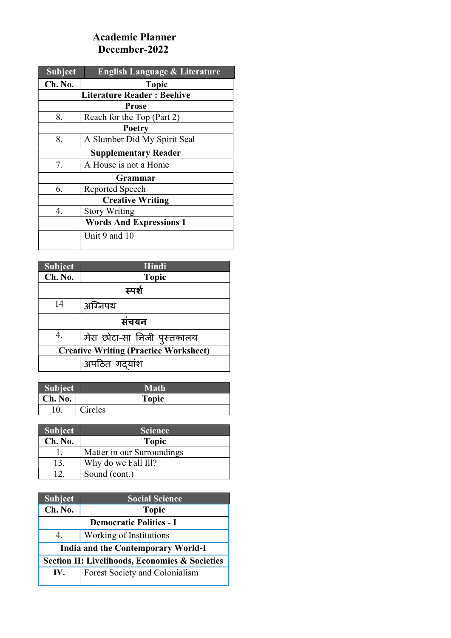## Academic Planner December-2022

| <b>Subject</b>                 | <b>English Language &amp; Literature</b> |  |
|--------------------------------|------------------------------------------|--|
| Ch. No.                        | <b>Topic</b>                             |  |
|                                | <b>Literature Reader: Beehive</b>        |  |
|                                | <b>Prose</b>                             |  |
| 8.                             | Reach for the Top (Part 2)               |  |
| Poetry                         |                                          |  |
| 8.                             | A Slumber Did My Spirit Seal             |  |
| <b>Supplementary Reader</b>    |                                          |  |
| 7.                             | A House is not a Home                    |  |
|                                | Grammar                                  |  |
| 6.                             | Reported Speech                          |  |
| <b>Creative Writing</b>        |                                          |  |
| 4.                             | <b>Story Writing</b>                     |  |
| <b>Words And Expressions 1</b> |                                          |  |
|                                | Unit 9 and 10                            |  |

| <b>Subject</b>                               | Hindi                       |  |
|----------------------------------------------|-----------------------------|--|
| Ch. No.                                      | <b>Topic</b>                |  |
| स्पर्श                                       |                             |  |
| 14                                           | अग्निपथ                     |  |
| संचयन                                        |                             |  |
|                                              | मेरा छोटा-सा निजी पुस्तकालय |  |
| <b>Creative Writing (Practice Worksheet)</b> |                             |  |
|                                              | अपठित गदयांश                |  |

| <b>Subject</b>  | <b>Math</b>  |  |
|-----------------|--------------|--|
| $\vert$ Ch. No. | <b>Topic</b> |  |
| 10.             | Circles      |  |

| <b>Subject</b> | <b>Science</b>             |
|----------------|----------------------------|
| Ch. No.        | <b>Topic</b>               |
|                | Matter in our Surroundings |
| 13.            | Why do we Fall Ill?        |
|                | Sound (cont.)              |

| <b>Subject</b>                                            | <b>Social Science</b>          |
|-----------------------------------------------------------|--------------------------------|
| Ch. No.                                                   | <b>Topic</b>                   |
| <b>Democratic Politics - I</b>                            |                                |
| 4.                                                        | Working of Institutions        |
| <b>India and the Contemporary World-I</b>                 |                                |
| <b>Section II: Livelihoods, Economies &amp; Societies</b> |                                |
| IV.                                                       | Forest Society and Colonialism |
|                                                           |                                |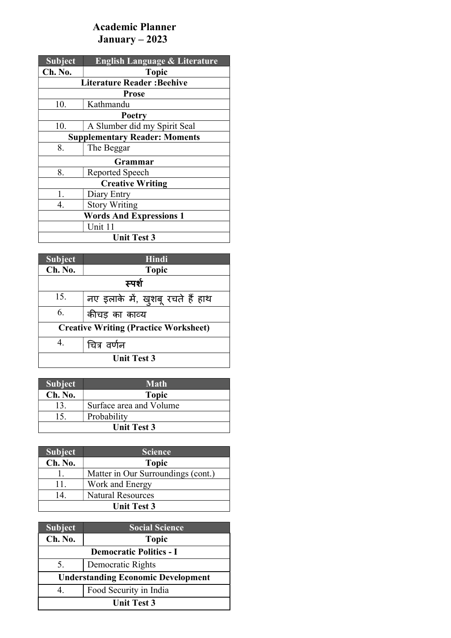## Academic Planner January – 2023

| <b>Subject</b>                       | <b>English Language &amp; Literature</b> |  |  |
|--------------------------------------|------------------------------------------|--|--|
| Ch. No.                              | <b>Topic</b>                             |  |  |
|                                      | <b>Literature Reader: Beehive</b>        |  |  |
|                                      | <b>Prose</b>                             |  |  |
| 10.                                  | Kathmandu                                |  |  |
|                                      | Poetry                                   |  |  |
| 10.                                  | A Slumber did my Spirit Seal             |  |  |
| <b>Supplementary Reader: Moments</b> |                                          |  |  |
| 8.                                   | The Beggar                               |  |  |
|                                      | Grammar                                  |  |  |
| 8.                                   | Reported Speech                          |  |  |
|                                      | <b>Creative Writing</b>                  |  |  |
| 1.                                   | Diary Entry                              |  |  |
| 4.                                   | <b>Story Writing</b>                     |  |  |
| <b>Words And Expressions 1</b>       |                                          |  |  |
|                                      | Unit 11                                  |  |  |
| <b>Unit Test 3</b>                   |                                          |  |  |

| <b>Subject</b>                               | <b>Hindi</b>                     |
|----------------------------------------------|----------------------------------|
| Ch. No.                                      | <b>Topic</b>                     |
| स्पर्श                                       |                                  |
| 15.                                          | नए इलाके में, खुशबू रचते हैं हाथ |
| 6.                                           | कीचड़ का काव्य                   |
| <b>Creative Writing (Practice Worksheet)</b> |                                  |
| 4.                                           | चित्र वर्णन                      |
| <b>Unit Test 3</b>                           |                                  |

| <b>Subject</b>     | <b>Math</b>             |
|--------------------|-------------------------|
| Ch. No.            | <b>Topic</b>            |
| 13                 | Surface area and Volume |
| 15                 | Probability             |
| <b>Unit Test 3</b> |                         |

| <b>Subject</b>     | <b>Science</b>                     |
|--------------------|------------------------------------|
| Ch. No.            | <b>Topic</b>                       |
|                    | Matter in Our Surroundings (cont.) |
| 11.                | Work and Energy                    |
| 14                 | <b>Natural Resources</b>           |
| <b>Unit Test 3</b> |                                    |

| <b>Subject</b>                            | <b>Social Science</b>  |
|-------------------------------------------|------------------------|
| Ch. No.                                   | <b>Topic</b>           |
| <b>Democratic Politics - I</b>            |                        |
| 5.                                        | Democratic Rights      |
| <b>Understanding Economic Development</b> |                        |
| 4.                                        | Food Security in India |
| <b>Unit Test 3</b>                        |                        |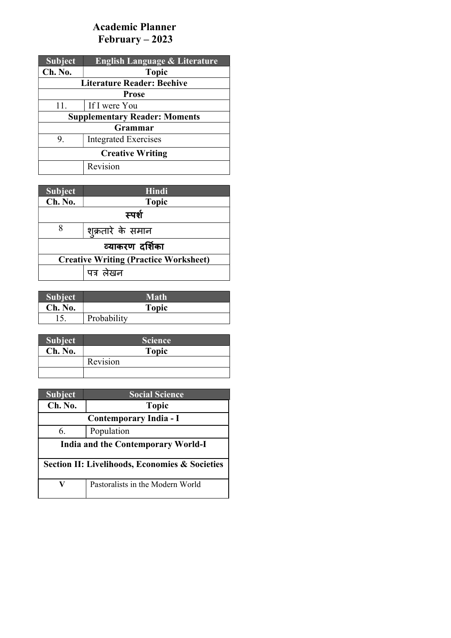# Academic Planner February – 2023

| <b>Subject</b>                       | <b>English Language &amp; Literature</b> |  |
|--------------------------------------|------------------------------------------|--|
| Ch. No.                              | <b>Topic</b>                             |  |
|                                      | <b>Literature Reader: Beehive</b>        |  |
| <b>Prose</b>                         |                                          |  |
| 11.                                  | If I were You                            |  |
| <b>Supplementary Reader: Moments</b> |                                          |  |
| Grammar                              |                                          |  |
| 9.                                   | <b>Integrated Exercises</b>              |  |
| <b>Creative Writing</b>              |                                          |  |
|                                      | Revision                                 |  |

| <b>Subject</b>                               | Hindi             |
|----------------------------------------------|-------------------|
| Ch. No.                                      | <b>Topic</b>      |
| स्पर्श                                       |                   |
| 8                                            | शुक्रतारे के समान |
| व्याकरण दर्शिका                              |                   |
| <b>Creative Writing (Practice Worksheet)</b> |                   |
| पत्र लेखन                                    |                   |

| <b>Subject</b> | <b>Math</b> |  |
|----------------|-------------|--|
| Ch. No.        | Topic       |  |
|                | Probability |  |

| <b>Subject</b> | <b>Science</b> |  |
|----------------|----------------|--|
| Ch. No.        | <b>Topic</b>   |  |
|                | Revision       |  |
|                |                |  |

| <b>Subject</b>                                            | <b>Social Science</b>            |
|-----------------------------------------------------------|----------------------------------|
| Ch. No.                                                   | <b>Topic</b>                     |
| Contemporary India - I                                    |                                  |
| 6.                                                        | Population                       |
| <b>India and the Contemporary World-I</b>                 |                                  |
| <b>Section II: Livelihoods, Economies &amp; Societies</b> |                                  |
|                                                           | Pastoralists in the Modern World |